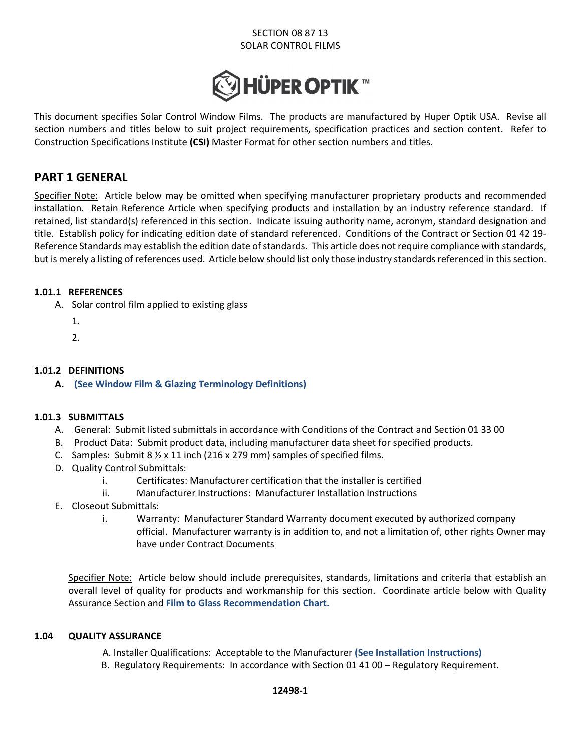# SECTION 08 87 13 SOLAR CONTROL FILMS



This document specifies Solar Control Window Films. The products are manufactured by Huper Optik USA. Revise all section numbers and titles below to suit project requirements, specification practices and section content. Refer to Construction Specifications Institute **(CSI)** Master Format for other section numbers and titles.

# **PART 1 GENERAL**

Specifier Note: Article below may be omitted when specifying manufacturer proprietary products and recommended installation. Retain Reference Article when specifying products and installation by an industry reference standard. If retained, list standard(s) referenced in this section. Indicate issuing authority name, acronym, standard designation and title. Establish policy for indicating edition date of standard referenced. Conditions of the Contract or Section 01 42 19- Reference Standards may establish the edition date of standards. This article does not require compliance with standards, but is merely a listing of references used. Article below should list only those industry standards referenced in this section.

## **1.01.1 REFERENCES**

- A. Solar control film applied to existing glass
	- 1.
	- 2.

## **1.01.2 DEFINITIONS**

**A. (See Window Film & Glazing Terminology Definitions)**

## **1.01.3 SUBMITTALS**

- A. General: Submit listed submittals in accordance with Conditions of the Contract and Section 01 33 00
- B. Product Data: Submit product data, including manufacturer data sheet for specified products.
- C. Samples: Submit 8  $\frac{1}{2}$  x 11 inch (216 x 279 mm) samples of specified films.
- D. Quality Control Submittals:
	- i. Certificates: Manufacturer certification that the installer is certified
	- ii. Manufacturer Instructions: Manufacturer Installation Instructions
- E. Closeout Submittals:
	- i. Warranty: Manufacturer Standard Warranty document executed by authorized company official. Manufacturer warranty is in addition to, and not a limitation of, other rights Owner may have under Contract Documents

Specifier Note: Article below should include prerequisites, standards, limitations and criteria that establish an overall level of quality for products and workmanship for this section. Coordinate article below with Quality Assurance Section and **Film to Glass Recommendation Chart.**

## **1.04 QUALITY ASSURANCE**

A. Installer Qualifications: Acceptable to the Manufacturer **(See Installation Instructions)** 

B. Regulatory Requirements: In accordance with Section 01 41 00 – Regulatory Requirement.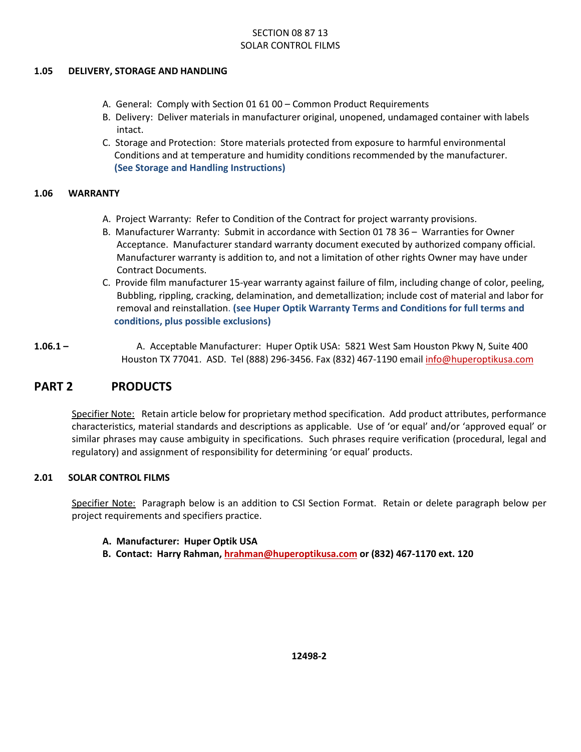# SECTION 08 87 13 SOLAR CONTROL FILMS

#### **1.05 DELIVERY, STORAGE AND HANDLING**

- A. General: Comply with Section 01 61 00 Common Product Requirements
- B. Delivery: Deliver materials in manufacturer original, unopened, undamaged container with labels intact.
- C. Storage and Protection: Store materials protected from exposure to harmful environmental Conditions and at temperature and humidity conditions recommended by the manufacturer. **(See Storage and Handling Instructions)**

#### **1.06 WARRANTY**

- A. Project Warranty: Refer to Condition of the Contract for project warranty provisions.
- B. Manufacturer Warranty: Submit in accordance with Section 01 78 36 Warranties for Owner Acceptance. Manufacturer standard warranty document executed by authorized company official. Manufacturer warranty is addition to, and not a limitation of other rights Owner may have under Contract Documents.
- C. Provide film manufacturer 15-year warranty against failure of film, including change of color, peeling, Bubbling, rippling, cracking, delamination, and demetallization; include cost of material and labor for removal and reinstallation. **(see Huper Optik Warranty Terms and Conditions for full terms and conditions, plus possible exclusions)**
- **1.06.1** A. Acceptable Manufacturer: Huper Optik USA: 5821 West Sam Houston Pkwy N, Suite 400 Houston TX 77041. ASD. Tel (888) 296-3456. Fax (832) 467-1190 email info@huperoptikusa.com

# **PART 2 PRODUCTS**

Specifier Note: Retain article below for proprietary method specification. Add product attributes, performance characteristics, material standards and descriptions as applicable. Use of 'or equal' and/or 'approved equal' or similar phrases may cause ambiguity in specifications. Such phrases require verification (procedural, legal and regulatory) and assignment of responsibility for determining 'or equal' products.

## **2.01 SOLAR CONTROL FILMS**

Specifier Note: Paragraph below is an addition to CSI Section Format. Retain or delete paragraph below per project requirements and specifiers practice.

## **A. Manufacturer: Huper Optik USA**

 **B. Contact: Harry Rahman, hrahman@huperoptikusa.com or (832) 467-1170 ext. 120**